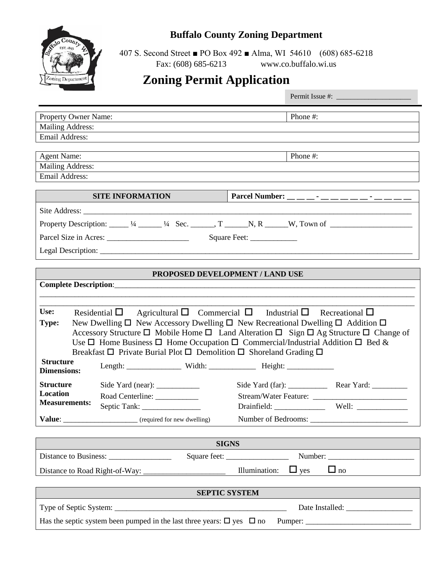

## **Buffalo County Zoning Department**

407 S. Second Street ■ PO Box 492 ■ Alma, WI 54610 (608) 685-6218 Fax: (608) 685-6213 www.co.buffalo.wi.us

# **Zoning Permit Application**

| Property Owner Name:                                                                                                                                                                                                                                                                                                                                                                                                                                                                                                                                       | Phone #:                                            |  |  |
|------------------------------------------------------------------------------------------------------------------------------------------------------------------------------------------------------------------------------------------------------------------------------------------------------------------------------------------------------------------------------------------------------------------------------------------------------------------------------------------------------------------------------------------------------------|-----------------------------------------------------|--|--|
| <b>Mailing Address:</b>                                                                                                                                                                                                                                                                                                                                                                                                                                                                                                                                    |                                                     |  |  |
| Email Address:                                                                                                                                                                                                                                                                                                                                                                                                                                                                                                                                             |                                                     |  |  |
| <b>Agent Name:</b>                                                                                                                                                                                                                                                                                                                                                                                                                                                                                                                                         | Phone #:                                            |  |  |
| <b>Mailing Address:</b>                                                                                                                                                                                                                                                                                                                                                                                                                                                                                                                                    |                                                     |  |  |
| <b>Email Address:</b>                                                                                                                                                                                                                                                                                                                                                                                                                                                                                                                                      |                                                     |  |  |
| <b>SITE INFORMATION</b>                                                                                                                                                                                                                                                                                                                                                                                                                                                                                                                                    | Parcel Number: __ _ _ _ _ _ _ _ _ _ _ _ _ _ _ _ _ _ |  |  |
|                                                                                                                                                                                                                                                                                                                                                                                                                                                                                                                                                            |                                                     |  |  |
| Property Description: $\_\_\_$ 1/4 $\_\_\_\_$ 1/4 Sec. $\_\_\_\_$ , T $\_\_\_\_$ N, R $\_\_\_$ W, Town of $\_\_\_\_\_\_$                                                                                                                                                                                                                                                                                                                                                                                                                                   |                                                     |  |  |
| Square Feet: _______________                                                                                                                                                                                                                                                                                                                                                                                                                                                                                                                               |                                                     |  |  |
|                                                                                                                                                                                                                                                                                                                                                                                                                                                                                                                                                            |                                                     |  |  |
|                                                                                                                                                                                                                                                                                                                                                                                                                                                                                                                                                            |                                                     |  |  |
| PROPOSED DEVELOPMENT / LAND USE                                                                                                                                                                                                                                                                                                                                                                                                                                                                                                                            |                                                     |  |  |
|                                                                                                                                                                                                                                                                                                                                                                                                                                                                                                                                                            |                                                     |  |  |
|                                                                                                                                                                                                                                                                                                                                                                                                                                                                                                                                                            |                                                     |  |  |
| Use:<br>Residential $\Box$ Agricultural $\Box$ Commercial $\Box$ Industrial $\Box$ Recreational $\Box$<br>New Dwelling $\square$ New Accessory Dwelling $\square$ New Recreational Dwelling $\square$ Addition $\square$<br><b>Type:</b><br>Accessory Structure $\Box$ Mobile Home $\Box$ Land Alteration $\Box$ Sign $\Box$ Ag Structure $\Box$ Change of<br>Use $\Box$ Home Business $\Box$ Home Occupation $\Box$ Commercial/Industrial Addition $\Box$ Bed &<br>Breakfast $\Box$ Private Burial Plot $\Box$ Demolition $\Box$ Shoreland Grading $\Box$ |                                                     |  |  |
| <b>Structure</b><br><b>Dimensions:</b>                                                                                                                                                                                                                                                                                                                                                                                                                                                                                                                     |                                                     |  |  |
| <b>Structure</b><br><b>Location</b><br>Road Centerline: ____________<br><b>Measurements:</b><br>Septic Tank:                                                                                                                                                                                                                                                                                                                                                                                                                                               |                                                     |  |  |
| Value: _________________________________ (required for new dwelling)                                                                                                                                                                                                                                                                                                                                                                                                                                                                                       |                                                     |  |  |
|                                                                                                                                                                                                                                                                                                                                                                                                                                                                                                                                                            |                                                     |  |  |
| <b>SIGNS</b>                                                                                                                                                                                                                                                                                                                                                                                                                                                                                                                                               |                                                     |  |  |
|                                                                                                                                                                                                                                                                                                                                                                                                                                                                                                                                                            | Square feet:<br>Number:                             |  |  |
| $\Box$ no<br>Illumination:<br>$\Box$ yes                                                                                                                                                                                                                                                                                                                                                                                                                                                                                                                   |                                                     |  |  |
| <b>SEPTIC SYSTEM</b>                                                                                                                                                                                                                                                                                                                                                                                                                                                                                                                                       |                                                     |  |  |
|                                                                                                                                                                                                                                                                                                                                                                                                                                                                                                                                                            |                                                     |  |  |
|                                                                                                                                                                                                                                                                                                                                                                                                                                                                                                                                                            |                                                     |  |  |
| Has the septic system been pumped in the last three years: $\square$ yes $\square$ no                                                                                                                                                                                                                                                                                                                                                                                                                                                                      |                                                     |  |  |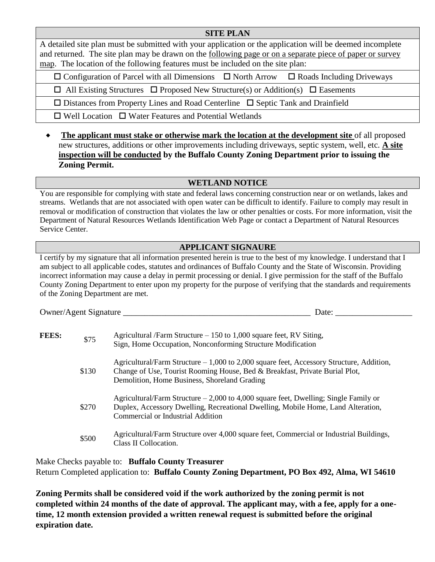#### **SITE PLAN**

A detailed site plan must be submitted with your application or the application will be deemed incomplete and returned. The site plan may be drawn on the following page or on a separate piece of paper or survey map. The location of the following features must be included on the site plan:

 $\Box$  Configuration of Parcel with all Dimensions  $\Box$  North Arrow  $\Box$  Roads Including Driveways

 $\Box$  All Existing Structures  $\Box$  Proposed New Structure(s) or Addition(s)  $\Box$  Easements

 $\Box$  Distances from Property Lines and Road Centerline  $\Box$  Septic Tank and Drainfield

 $\Box$  Well Location  $\Box$  Water Features and Potential Wetlands

• The applicant must stake or otherwise mark the location at the development site of all proposed new structures, additions or other improvements including driveways, septic system, well, etc. **A site inspection will be conducted by the Buffalo County Zoning Department prior to issuing the Zoning Permit.**

#### **WETLAND NOTICE**

You are responsible for complying with state and federal laws concerning construction near or on wetlands, lakes and streams. Wetlands that are not associated with open water can be difficult to identify. Failure to comply may result in removal or modification of construction that violates the law or other penalties or costs. For more information, visit the Department of Natural Resources Wetlands Identification Web Page or contact a Department of Natural Resources Service Center.

### **APPLICANT SIGNAURE**

I certify by my signature that all information presented herein is true to the best of my knowledge. I understand that I am subject to all applicable codes, statutes and ordinances of Buffalo County and the State of Wisconsin. Providing incorrect information may cause a delay in permit processing or denial. I give permission for the staff of the Buffalo County Zoning Department to enter upon my property for the purpose of verifying that the standards and requirements of the Zoning Department are met.

Owner/Agent Signature Letter and the set of the set of the set of the set of the set of the set of the set of the set of the set of the set of the set of the set of the set of the set of the set of the set of the set of th

| <b>FEES:</b> | \$75  | Agricultural /Farm Structure $-150$ to 1,000 square feet, RV Siting,<br>Sign, Home Occupation, Nonconforming Structure Modification                                                                                     |
|--------------|-------|-------------------------------------------------------------------------------------------------------------------------------------------------------------------------------------------------------------------------|
|              | \$130 | Agricultural/Farm Structure – 1,000 to 2,000 square feet, Accessory Structure, Addition,<br>Change of Use, Tourist Rooming House, Bed & Breakfast, Private Burial Plot,<br>Demolition, Home Business, Shoreland Grading |
|              | \$270 | Agricultural/Farm Structure $-2,000$ to 4,000 square feet, Dwelling; Single Family or<br>Duplex, Accessory Dwelling, Recreational Dwelling, Mobile Home, Land Alteration,<br>Commercial or Industrial Addition          |
|              | \$500 | Agricultural/Farm Structure over 4,000 square feet, Commercial or Industrial Buildings,<br>Class II Collocation.                                                                                                        |

Make Checks payable to: **Buffalo County Treasurer** Return Completed application to: **Buffalo County Zoning Department, PO Box 492, Alma, WI 54610**

**Zoning Permits shall be considered void if the work authorized by the zoning permit is not completed within 24 months of the date of approval. The applicant may, with a fee, apply for a onetime, 12 month extension provided a written renewal request is submitted before the original expiration date.**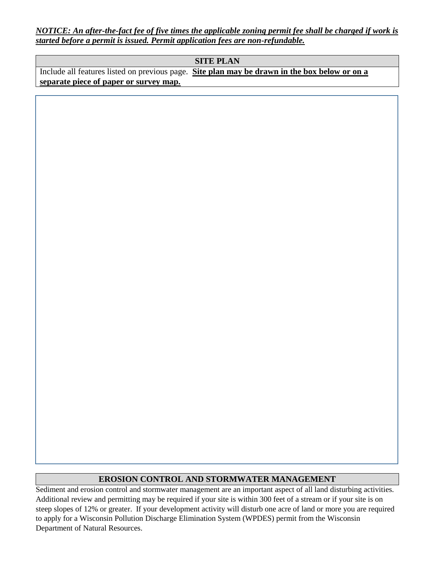*NOTICE: An after-the-fact fee of five times the applicable zoning permit fee shall be charged if work is started before a permit is issued. Permit application fees are non-refundable.*

#### **SITE PLAN**

Include all features listed on previous page. **Site plan may be drawn in the box below or on a separate piece of paper or survey map.**

#### **EROSION CONTROL AND STORMWATER MANAGEMENT**

Sediment and erosion control and stormwater management are an important aspect of all land disturbing activities. Additional review and permitting may be required if your site is within 300 feet of a stream or if your site is on steep slopes of 12% or greater. If your development activity will disturb one acre of land or more you are required to apply for a Wisconsin Pollution Discharge Elimination System (WPDES) permit from the Wisconsin Department of Natural Resources.